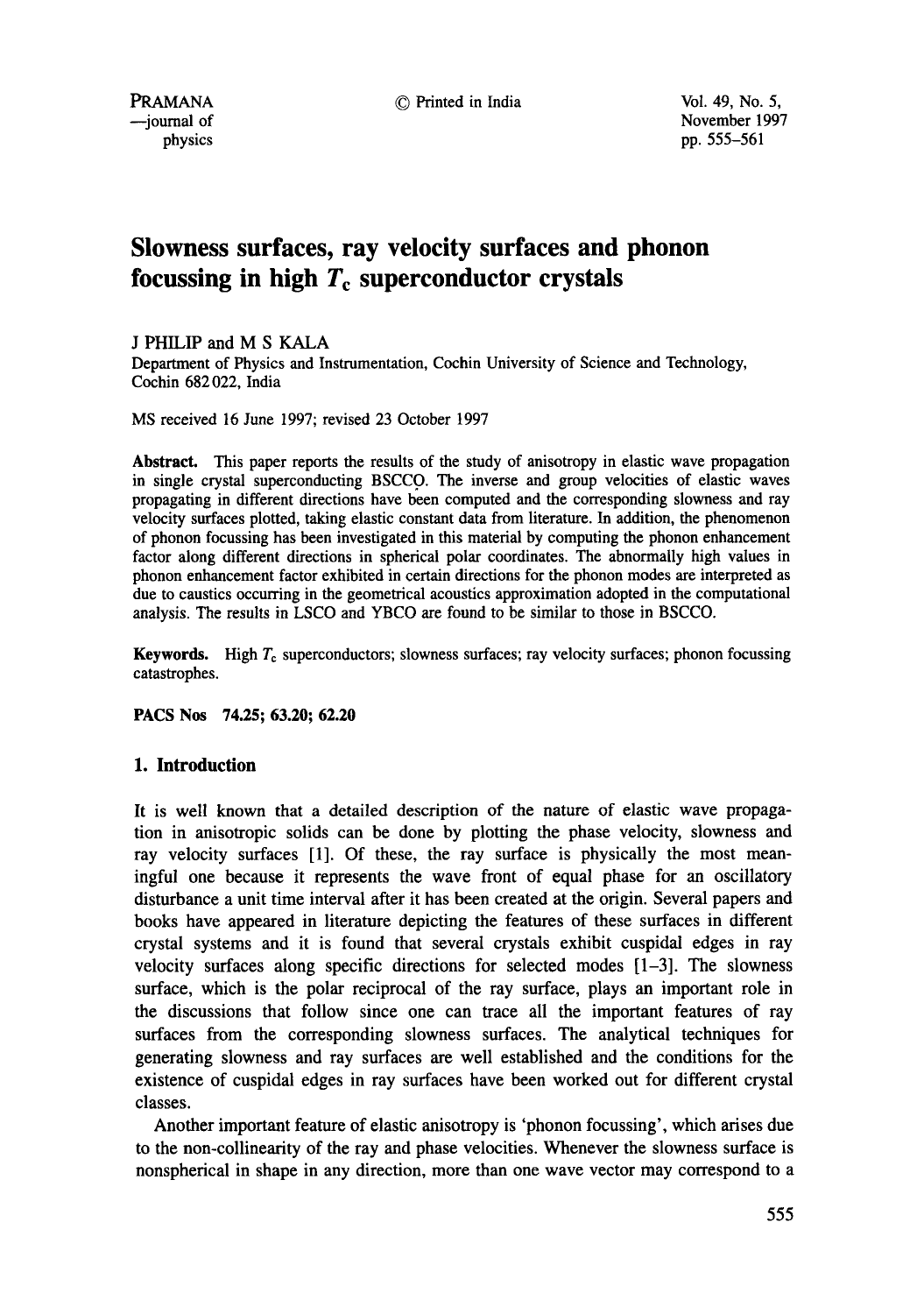© Printed in India **Vol. 49, No. 5,** 

November 1997 pp. 555-561

# **Slowness surfaces, ray velocity surfaces and phonon**  focussing in high  $T_c$  superconductor crystals

J PHILIP and M S KALA

Department of Physics and Instrumentation, Cochin University of Science and Technology, Cochin 682 022, India

MS received 16 June 1997; revised 23 October 1997

**Abstract.** This paper reports the results of the study of anisotropy in elastic wave propagation in single crystal superconducting BSCCO. The inverse and group velocities of elastic waves propagating in different directions have been computed and the corresponding slowness and ray velocity surfaces plotted, taking elastic constant data from literature. In addition, the phenomenon of phonon focussing has been investigated in this material by computing the phonon enhancement factor along different directions in spherical polar coordinates. The abnormally high values in phonon enhancement factor exhibited in certain directions for the phonon modes are interpreted as due to caustics occurring in the geometrical acoustics approximation adopted in the computational analysis. The results in LSCO and YBCO are found to be similar to those in BSCCO.

**Keywords.** High  $T_c$  superconductors; slowness surfaces; ray velocity surfaces; phonon focussing catastrophes.

**PACS Nos 74.25; 63.20; 62.20** 

# **1. Introduction**

It is well known that a detailed description of the nature of elastic wave propagation in anisotropic solids can be done by plotting the phase velocity, slowness and ray velocity surfaces [1]. Of these, the ray surface is physically the most meaningful one because it represents the wave front of equal phase for an oscillatory disturbance a unit time interval after it has been created at the origin. Several papers and books have appeared in literature depicting the features of these surfaces in different crystal systems and it is found that several crystals exhibit cuspidal edges in ray velocity surfaces along specific directions for selected modes [1-3]. The slowness surface, which is the polar reciprocal of the ray surface, plays an important role in the discussions that follow since one can trace all the important features of ray surfaces from the corresponding slowness surfaces. The analytical techniques for generating slowness and ray surfaces are well established and the conditions for the existence of cuspidal edges in ray surfaces have been worked out for different crystal classes.

Another important feature of elastic anisotropy is 'phonon focussing', which arises due to the non-collinearity of the ray and phase velocities. Whenever the slowness surface is nonspherical in shape in any direction, more than one wave vector may correspond to a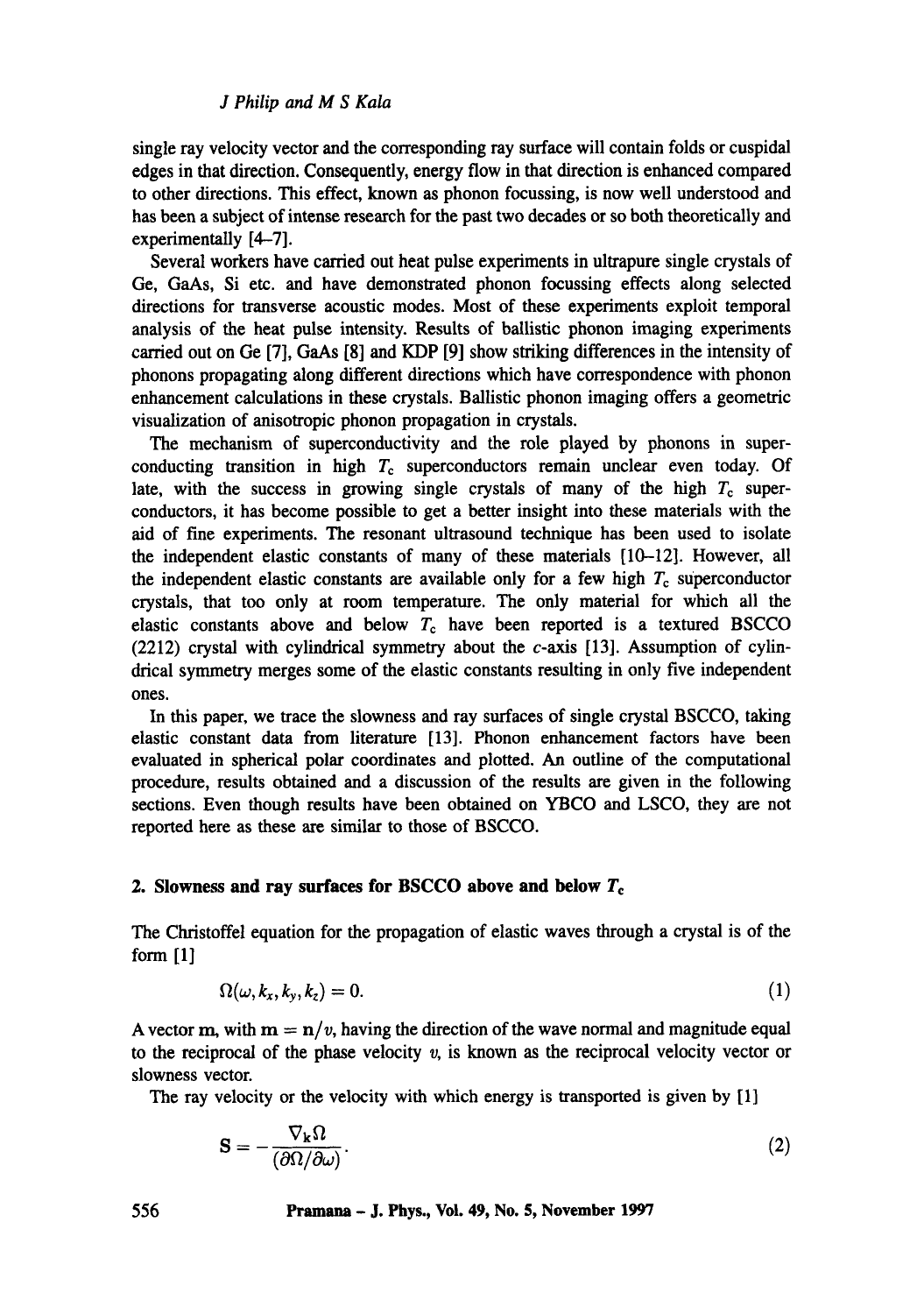### *J Philip and M S Kala*

single ray velocity vector and the corresponding ray surface will contain folds or cuspidal edges in that direction. Consequently, energy flow in that direction is enhanced compared to other directions. This effect, known as phonon focussing, is now well understood and has been a subject of intense research for the past two decades or so both theoretically and experimentally [4-7].

Several workers have carried out heat pulse experiments in ultrapure single crystals of Ge, GaAs, Si etc. and have demonstrated phonon focussing effects along selected directions for transverse acoustic modes. Most of these experiments exploit temporal analysis of the heat pulse intensity. Results of ballistic phonon imaging experiments carried out on Ge [7], GaAs [8] and KDP [9] show striking differences in the intensity of phonons propagating along different directions which have correspondence with phonon enhancement calculations in these crystals. Ballistic phonon imaging offers a geometric visualization of anisotropic phonon propagation in crystals.

The mechanism of superconductivity and the role played by phonons in superconducting transition in high  $T_c$  superconductors remain unclear even today. Of late, with the success in growing single crystals of many of the high  $T_c$  superconductors, it has become possible to get a better insight into these materials with the aid of fine experiments. The resonant ultrasound technique has been used to isolate the independent elastic constants of many of these materials [10-12]. However, all the independent elastic constants are available only for a few high  $T_c$  superconductor crystals, that too only at room temperature. The only material for which all the elastic constants above and below  $T_c$  have been reported is a textured BSCCO (2212) crystal with cylindrical symmetry about the  $c$ -axis [13]. Assumption of cylindrical symmetry merges some of the elastic constants resulting in only five independent ones.

In this paper, we trace the slowness and ray surfaces of single crystal BSCCO, taking elastic constant data from literature [13]. Phonon enhancement factors have been evaluated in spherical polar coordinates and plotted. An outline of the computational procedure, results obtained and a discussion of the results are given in the following sections. Even though results have been obtained on YBCO and LSCO, they are not reported here as these are similar to those of BSCCO.

# 2. Slowness and ray surfaces for BSCCO above and below  $T_c$

The Christoffel equation for the propagation of elastic waves through a crystal is of the form [1]

$$
\Omega(\omega,k_x,k_y,k_z)=0.\tag{1}
$$

A vector m, with  $m = n/v$ , having the direction of the wave normal and magnitude equal to the reciprocal of the phase velocity  $v$ , is known as the reciprocal velocity vector or slowness vector.

The ray velocity or the velocity with which energy is transported is given by [1]

$$
\mathbf{S} = -\frac{\nabla_{\mathbf{k}}\Omega}{(\partial\Omega/\partial\omega)}.
$$
 (2)

**556 Pramana - J. Phys., Vol. 49, No. 5, November 1997**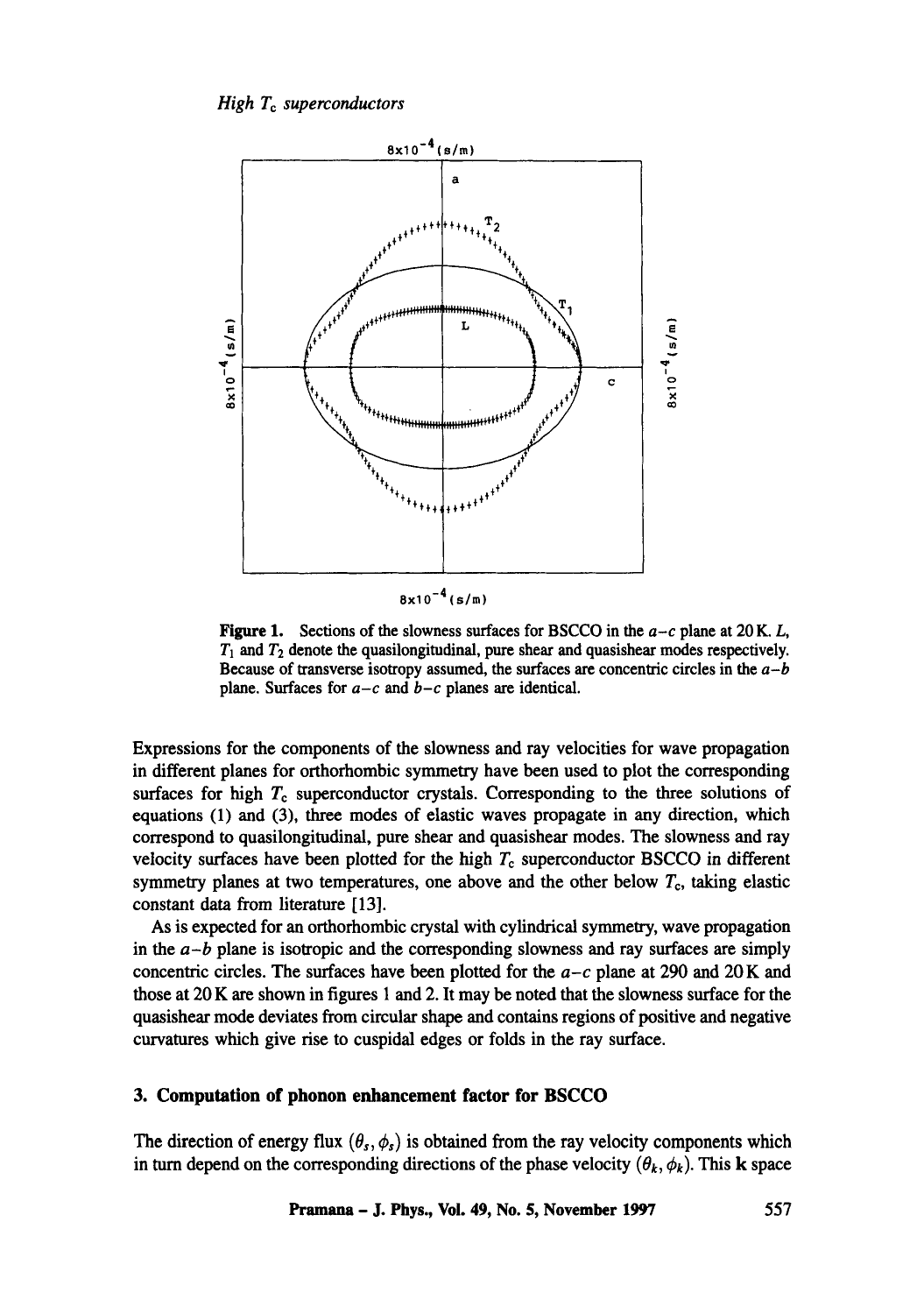

Figure 1. Sections of the slowness surfaces for BSCCO in the *a-c* plane at 20 K. L,  $T_1$  and  $T_2$  denote the quasilongitudinal, pure shear and quasishear modes respectively. Because of transverse isotropy assumed, the surfaces are concentric circles in the *a-b*  plane. Surfaces for *a-c and b-c* planes are identical.

Expressions for the components of the slowness and ray velocities for wave propagation in different planes for orthorhombic symmetry have been used to plot the corresponding surfaces for high  $T_c$  superconductor crystals. Corresponding to the three solutions of equations (1) and (3), three modes of elastic waves propagate in any direction, which correspond to quasilongitudinal, pure shear and quasishear modes. The slowness and ray velocity surfaces have been plotted for the high  $T_c$  superconductor BSCCO in different symmetry planes at two temperatures, one above and the other below  $T_c$ , taking elastic constant data from literature [13].

As is expected for an orthorhombic crystal with cylindrical symmetry, wave propagation in the  $a-b$  plane is isotropic and the corresponding slowness and ray surfaces are simply concentric circles. The surfaces have been plotted for the *a-c* plane at 290 and 20K and those at 20 K are shown in figures 1 and 2. It may be noted that the slowness surface for the quasishear mode deviates from circular shape and contains regions of positive and negative curvatures which give rise to cuspidal edges or folds in the ray surface.

### **3. Computation of phonon enhancement factor for BSCCO**

The direction of energy flux  $(\theta_s, \phi_s)$  is obtained from the ray velocity components which in turn depend on the corresponding directions of the phase velocity  $(\theta_k, \phi_k)$ . This k space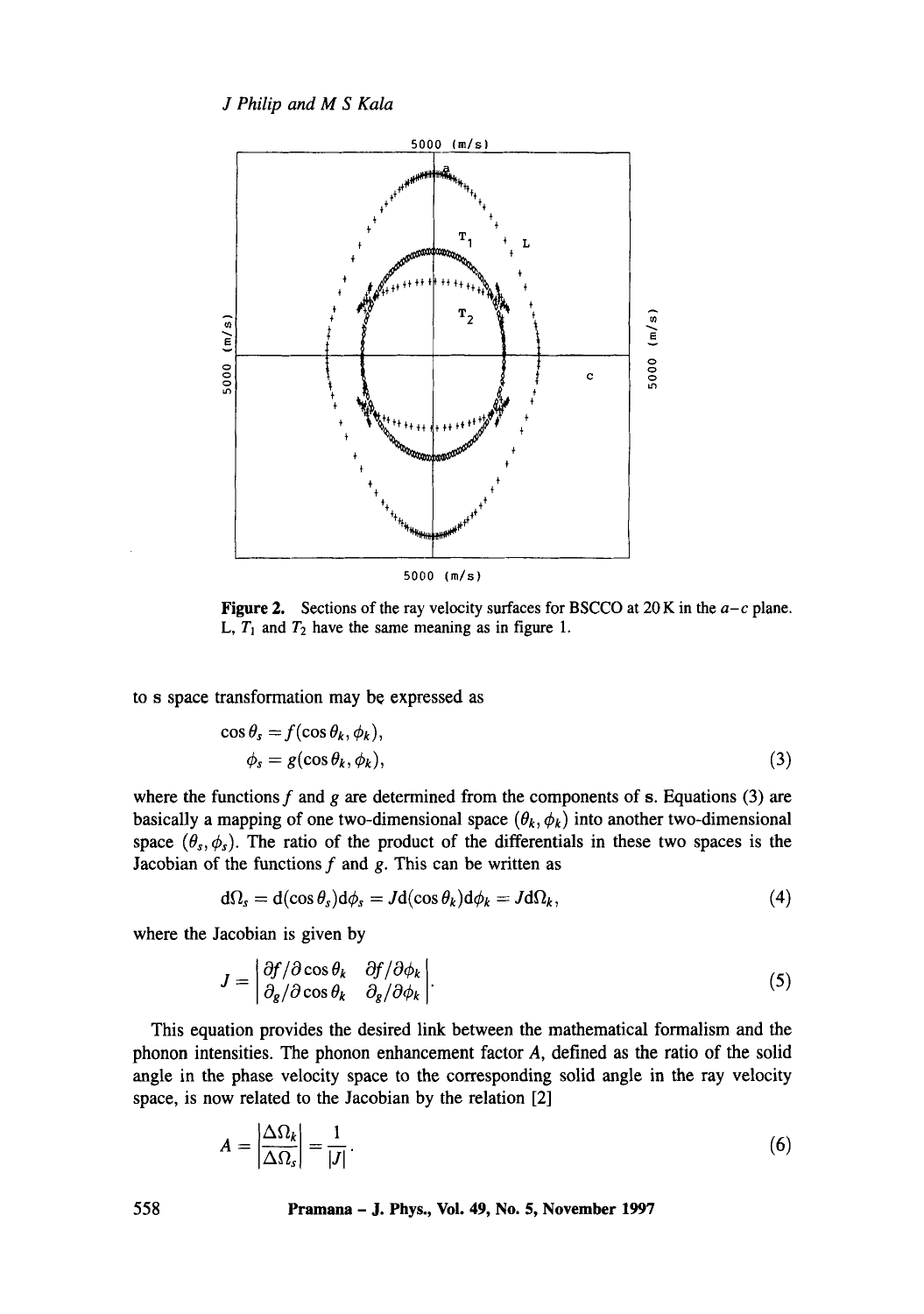*J Philip and M S Kala* 



**Figure 2.** Sections of the ray velocity surfaces for BSCCO at 20 K in the  $a-c$  plane. L,  $T_1$  and  $T_2$  have the same meaning as in figure 1.

**to s space transformation may be expressed as** 

$$
\cos \theta_s = f(\cos \theta_k, \phi_k), \n\phi_s = g(\cos \theta_k, \phi_k),
$$
\n(3)

where the functions  $f$  and  $g$  are determined from the components of  $s$ . Equations (3) are basically a mapping of one two-dimensional space  $(\theta_k, \phi_k)$  into another two-dimensional space  $(\theta_s, \phi_s)$ . The ratio of the product of the differentials in these two spaces is the **Jacobian of the functions f and g. This can be written as** 

$$
d\Omega_s = d(\cos \theta_s) d\phi_s = Jd(\cos \theta_k) d\phi_k = Jd\Omega_k, \qquad (4)
$$

**where the Jacobian is given by** 

$$
J = \begin{vmatrix} \frac{\partial f}{\partial \cos \theta_k} & \frac{\partial f}{\partial \phi_k} \\ \frac{\partial g}{\partial \cos \theta_k} & \frac{\partial g}{\partial \phi_k} \end{vmatrix} . \tag{5}
$$

**This equation provides the desired link between the mathematical formalism and the phonon intensities. The phonon enhancement factor A, defined as the ratio of the solid angle in the phase velocity space to the corresponding solid angle in the ray velocity space, is now related to the Jacobian by the relation [2]** 

$$
A = \left| \frac{\Delta \Omega_k}{\Delta \Omega_s} \right| = \frac{1}{|J|}.
$$
 (6)

**558 Pramana - J. Phys., Vol. 49, No. 5, November 1997**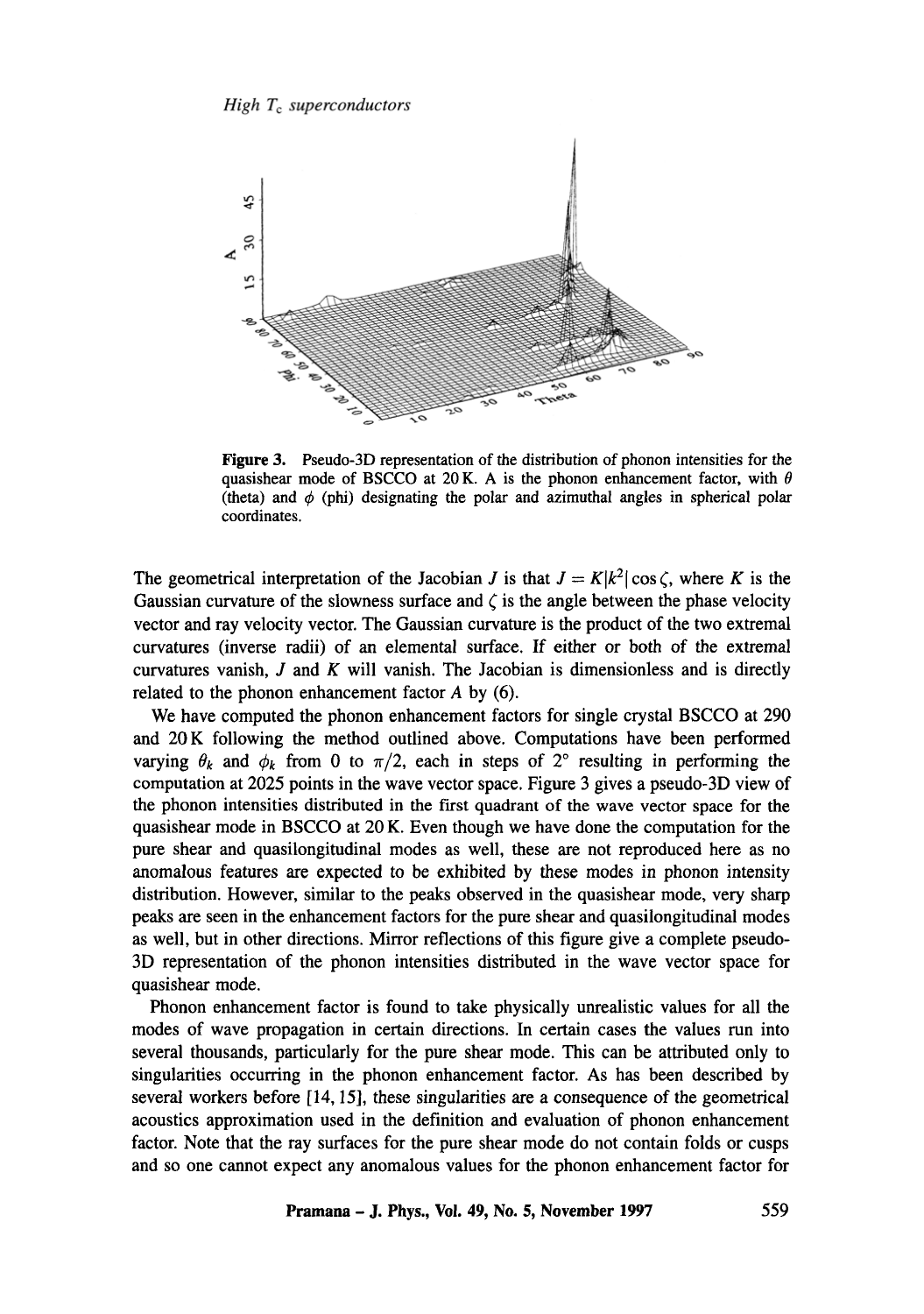

**Figure 3.** Pseudo-3D representation of the distribution of phonon intensities for the quasishear mode of BSCCO at 20 K. A is the phonon enhancement factor, with  $\theta$ (theta) and  $\phi$  (phi) designating the polar and azimuthal angles in spherical polar coordinates.

The geometrical interpretation of the Jacobian J is that  $J = K|k^2| \cos \zeta$ , where K is the Gaussian curvature of the slowness surface and  $\zeta$  is the angle between the phase velocity vector and ray velocity vector. The Gaussian curvature is the product of the two extremal curvatures (inverse radii) of an elemental surface. If either or both of the extremal curvatures vanish,  $J$  and  $K$  will vanish. The Jacobian is dimensionless and is directly related to the phonon enhancement factor  $A$  by  $(6)$ .

We have computed the phonon enhancement factors for single crystal BSCCO at 290 and 20K following the method outlined above. Computations have been performed varying  $\theta_k$  and  $\phi_k$  from 0 to  $\pi/2$ , each in steps of 2° resulting in performing the computation at 2025 points in the wave vector space, Figure 3 gives a pseudo-3D view of the phonon intensities distributed in the first quadrant of the wave vector space for the quasishear mode in BSCCO at 20 K. Even though we have done the computation for the pure shear and quasilongitudinal modes as well, these are not reproduced here as no anomalous features are expected to be exhibited by these modes in phonon intensity distribution. However, similar to the peaks observed in the quasishear mode, very sharp peaks are seen in the enhancement factors for the pure shear and quasilongitudinal modes as well, but in other directions. Mirror reflections of this figure give a complete pseudo-3D representation of the phonon intensities distributed in the wave vector space for quasishear mode.

Phonon enhancement factor is found to take physically unrealistic values for all the modes of wave propagation in certain directions. In certain cases the values run into several thousands, particularly for the pure shear mode. This can be attributed only to singularities occurring in the phonon enhancement factor. As has been described by several workers before [14, 15], these singularities are a consequence of the geometrical acoustics approximation used in the definition and evaluation of phonon enhancement factor. Note that the ray surfaces for the pure shear mode do not contain folds or cusps and so one cannot expect any anomalous values for the phonon enhancement factor for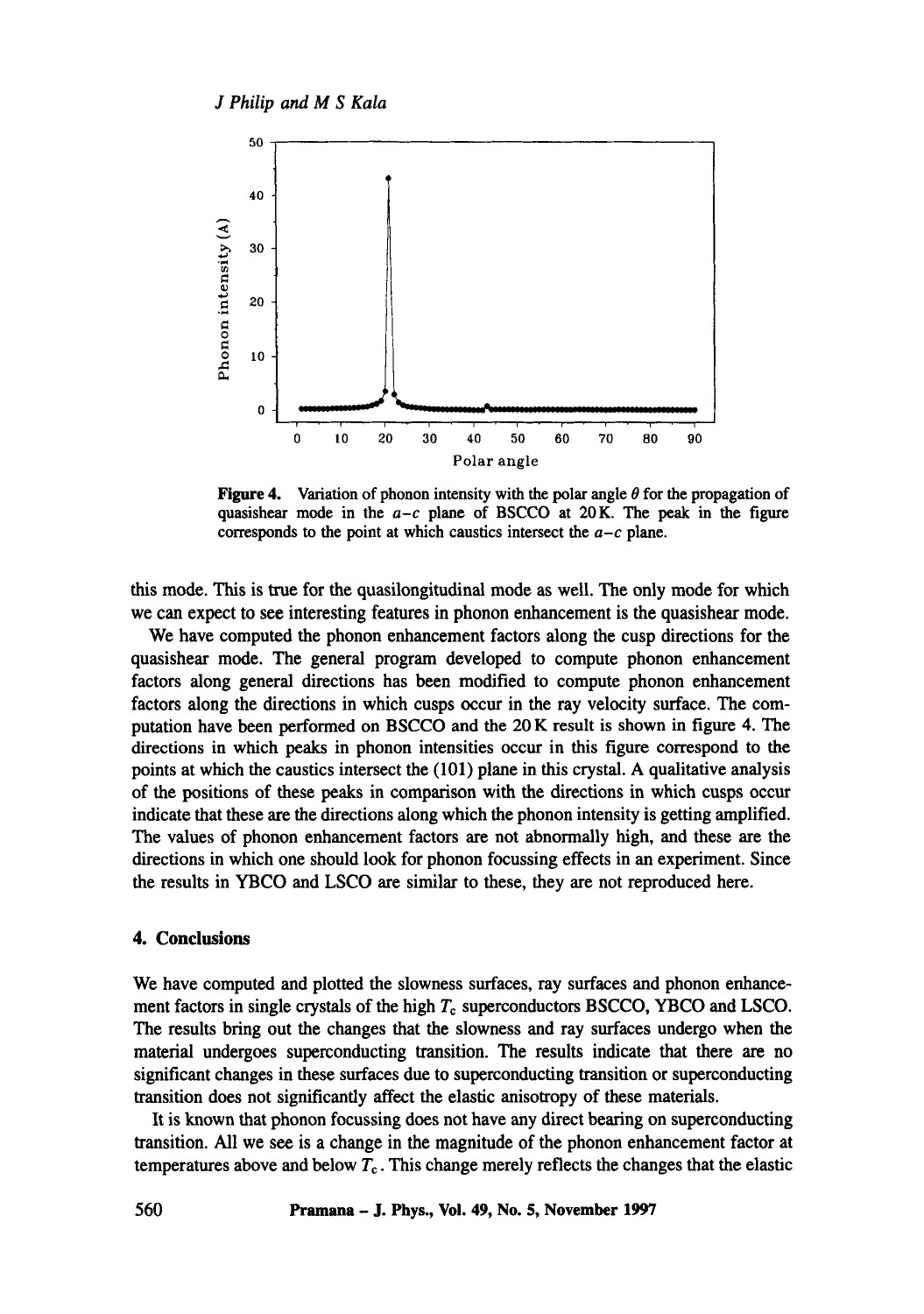

**Figure 4.** Variation of phonon intensity with the polar angle  $\theta$  for the propagation of quasishear mode in the  $a-c$  plane of BSCCO at 20K. The peak in the figure corresponds to the point at which caustics intersect the  $a-c$  plane.

this mode. This is true for the quasilongitudinal mode as well. The only mode for which we can expect to see interesting features in phonon enhancement is the quasishear mode.

We have computed the phonon enhancement factors along the cusp directions for the quasishear mode. The general program developed to compute phonon enhancement factors along general directions has been modified to compute phonon enhancement factors along the directions in which cusps occur in the ray velocity surface. The computation have been performed on BSCCO and the 20 K result is shown in figure 4. The directions in which peaks in phonon intensities occur in this figure correspond to the points at which the caustics intersect the (101) plane in this crystal. A qualitative analysis of the positions of these peaks in comparison with the directions in which cusps occur indicate that these are the directions along which the phonon intensity is getting amplified. The values of phonon enhancement factors are not abnormally high, and these are the directions in which one should look for phonon focussing effects in an experiment. Since the results in YBCO and LSCO are similar to these, they are not reproduced here.

#### **4. Conclusions**

We have computed and plotted the slowness surfaces, ray surfaces and phonon enhancement factors in single crystals of the high  $T_c$  superconductors BSCCO, YBCO and LSCO. The results bring out the changes that the slowness and ray surfaces undergo when the material undergoes superconducting transition. The results indicate that there are no significant changes in these surfaces due to superconducting transition or superconducting transition does not significantly affect the elastic anisotropy of these materials.

It is known that phonon focussing does not have any direct bearing on superconducting transition. All we see is a change in the magnitude of the phonon enhancement factor at temperatures above and below  $T_c$ . This change merely reflects the changes that the elastic